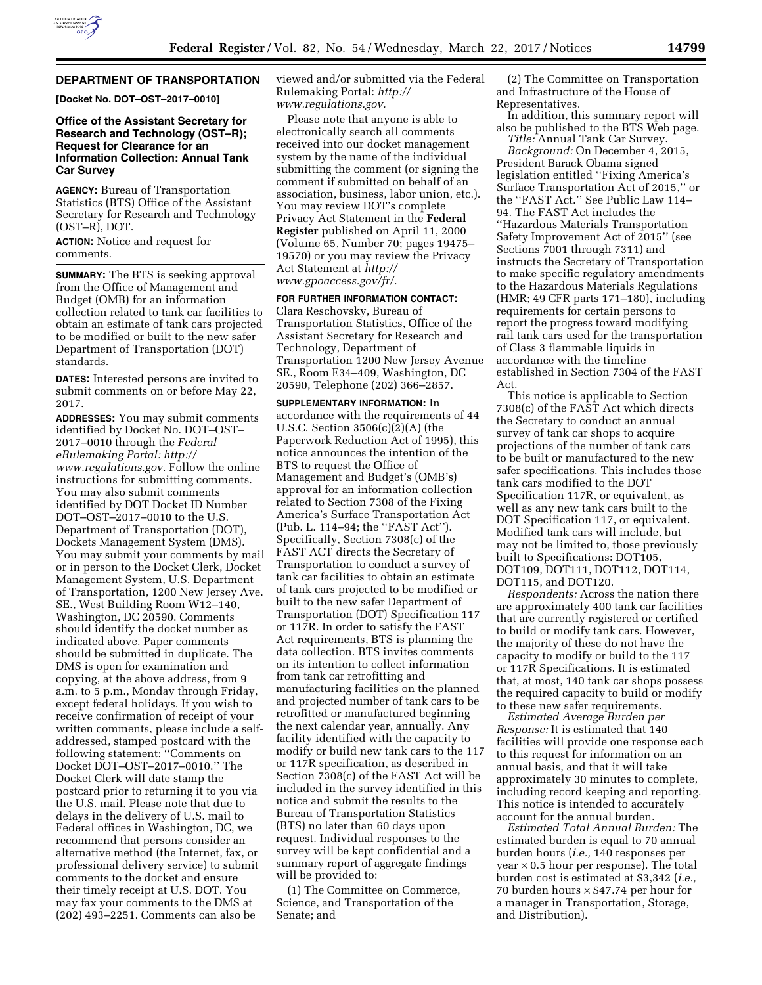

# **DEPARTMENT OF TRANSPORTATION**

**[Docket No. DOT–OST–2017–0010]** 

# **Office of the Assistant Secretary for Research and Technology (OST–R); Request for Clearance for an Information Collection: Annual Tank Car Survey**

**AGENCY:** Bureau of Transportation Statistics (BTS) Office of the Assistant Secretary for Research and Technology (OST–R), DOT.

**ACTION:** Notice and request for comments.

**SUMMARY:** The BTS is seeking approval from the Office of Management and Budget (OMB) for an information collection related to tank car facilities to obtain an estimate of tank cars projected to be modified or built to the new safer Department of Transportation (DOT) standards.

**DATES:** Interested persons are invited to submit comments on or before May 22, 2017.

**ADDRESSES:** You may submit comments identified by Docket No. DOT–OST– 2017–0010 through the *Federal eRulemaking Portal: [http://](http://www.regulations.gov) [www.regulations.gov.](http://www.regulations.gov)* Follow the online instructions for submitting comments. You may also submit comments identified by DOT Docket ID Number DOT–OST–2017–0010 to the U.S. Department of Transportation (DOT), Dockets Management System (DMS). You may submit your comments by mail or in person to the Docket Clerk, Docket Management System, U.S. Department of Transportation, 1200 New Jersey Ave. SE., West Building Room W12–140, Washington, DC 20590. Comments should identify the docket number as indicated above. Paper comments should be submitted in duplicate. The DMS is open for examination and copying, at the above address, from 9 a.m. to 5 p.m., Monday through Friday, except federal holidays. If you wish to receive confirmation of receipt of your written comments, please include a selfaddressed, stamped postcard with the following statement: ''Comments on Docket DOT–OST–2017–0010.'' The Docket Clerk will date stamp the postcard prior to returning it to you via the U.S. mail. Please note that due to delays in the delivery of U.S. mail to Federal offices in Washington, DC, we recommend that persons consider an alternative method (the Internet, fax, or professional delivery service) to submit comments to the docket and ensure their timely receipt at U.S. DOT. You may fax your comments to the DMS at (202) 493–2251. Comments can also be

viewed and/or submitted via the Federal Rulemaking Portal: *[http://](http://www.regulations.gov) [www.regulations.gov.](http://www.regulations.gov)* 

Please note that anyone is able to electronically search all comments received into our docket management system by the name of the individual submitting the comment (or signing the comment if submitted on behalf of an association, business, labor union, etc.). You may review DOT's complete Privacy Act Statement in the **Federal Register** published on April 11, 2000 (Volume 65, Number 70; pages 19475– 19570) or you may review the Privacy Act Statement at *[http://](http://www.gpoaccess.gov/fr/) [www.gpoaccess.gov/fr/.](http://www.gpoaccess.gov/fr/)* 

**FOR FURTHER INFORMATION CONTACT:** 

Clara Reschovsky, Bureau of Transportation Statistics, Office of the Assistant Secretary for Research and Technology, Department of Transportation 1200 New Jersey Avenue SE., Room E34–409, Washington, DC 20590, Telephone (202) 366–2857.

**SUPPLEMENTARY INFORMATION:** In accordance with the requirements of 44 U.S.C. Section 3506(c)(2)(A) (the Paperwork Reduction Act of 1995), this notice announces the intention of the BTS to request the Office of Management and Budget's (OMB's) approval for an information collection related to Section 7308 of the Fixing America's Surface Transportation Act (Pub. L. 114–94; the ''FAST Act''). Specifically, Section 7308(c) of the FAST ACT directs the Secretary of Transportation to conduct a survey of tank car facilities to obtain an estimate of tank cars projected to be modified or built to the new safer Department of Transportation (DOT) Specification 117 or 117R. In order to satisfy the FAST Act requirements, BTS is planning the data collection. BTS invites comments on its intention to collect information from tank car retrofitting and manufacturing facilities on the planned and projected number of tank cars to be retrofitted or manufactured beginning the next calendar year, annually. Any facility identified with the capacity to modify or build new tank cars to the 117 or 117R specification, as described in Section 7308(c) of the FAST Act will be included in the survey identified in this notice and submit the results to the Bureau of Transportation Statistics (BTS) no later than 60 days upon request. Individual responses to the survey will be kept confidential and a summary report of aggregate findings will be provided to:

(1) The Committee on Commerce, Science, and Transportation of the Senate; and

(2) The Committee on Transportation and Infrastructure of the House of Representatives.

In addition, this summary report will also be published to the BTS Web page. *Title:* Annual Tank Car Survey.

*Background:* On December 4, 2015, President Barack Obama signed legislation entitled ''Fixing America's Surface Transportation Act of 2015,'' or the ''FAST Act.'' See Public Law 114– 94. The FAST Act includes the ''Hazardous Materials Transportation Safety Improvement Act of 2015'' (see Sections 7001 through 7311) and instructs the Secretary of Transportation to make specific regulatory amendments to the Hazardous Materials Regulations (HMR; 49 CFR parts 171–180), including requirements for certain persons to report the progress toward modifying rail tank cars used for the transportation of Class 3 flammable liquids in accordance with the timeline established in Section 7304 of the FAST Act.

This notice is applicable to Section 7308(c) of the FAST Act which directs the Secretary to conduct an annual survey of tank car shops to acquire projections of the number of tank cars to be built or manufactured to the new safer specifications. This includes those tank cars modified to the DOT Specification 117R, or equivalent, as well as any new tank cars built to the DOT Specification 117, or equivalent. Modified tank cars will include, but may not be limited to, those previously built to Specifications: DOT105, DOT109, DOT111, DOT112, DOT114, DOT115, and DOT120.

*Respondents:* Across the nation there are approximately 400 tank car facilities that are currently registered or certified to build or modify tank cars. However, the majority of these do not have the capacity to modify or build to the 117 or 117R Specifications. It is estimated that, at most, 140 tank car shops possess the required capacity to build or modify to these new safer requirements.

*Estimated Average Burden per Response:* It is estimated that 140 facilities will provide one response each to this request for information on an annual basis, and that it will take approximately 30 minutes to complete, including record keeping and reporting. This notice is intended to accurately account for the annual burden.

*Estimated Total Annual Burden:* The estimated burden is equal to 70 annual burden hours (*i.e.,* 140 responses per  $year × 0.5 hour per response$ . The total burden cost is estimated at \$3,342 (*i.e.,*  70 burden hours  $\times$  \$47.74 per hour for a manager in Transportation, Storage, and Distribution).